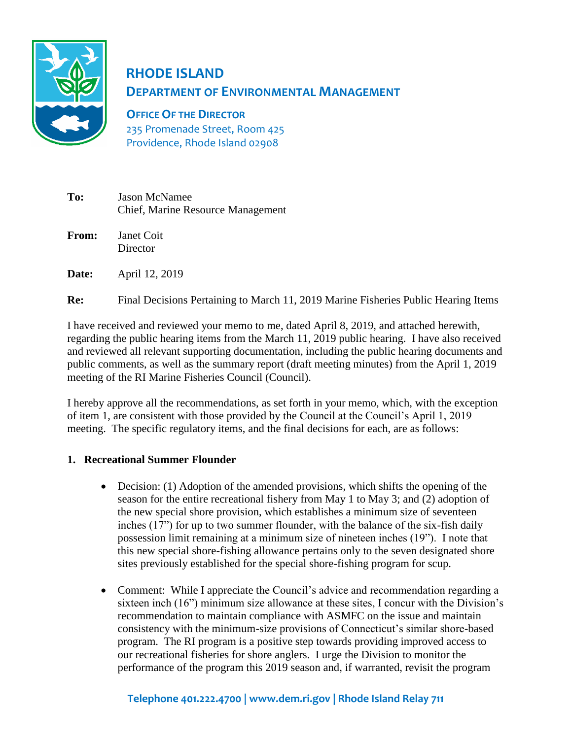

# **RHODE ISLAND DEPARTMENT OF ENVIRONMENTAL MANAGEMENT**

**OFFICE OF THE DIRECTOR** 235 Promenade Street, Room 425 Providence, Rhode Island 02908

| To:   | <b>Jason McNamee</b><br>Chief, Marine Resource Management |
|-------|-----------------------------------------------------------|
| From: | Janet Coit<br>Director                                    |
| Date: | April 12, 2019                                            |

**Re:** Final Decisions Pertaining to March 11, 2019 Marine Fisheries Public Hearing Items

I have received and reviewed your memo to me, dated April 8, 2019, and attached herewith, regarding the public hearing items from the March 11, 2019 public hearing. I have also received and reviewed all relevant supporting documentation, including the public hearing documents and public comments, as well as the summary report (draft meeting minutes) from the April 1, 2019 meeting of the RI Marine Fisheries Council (Council).

I hereby approve all the recommendations, as set forth in your memo, which, with the exception of item 1, are consistent with those provided by the Council at the Council's April 1, 2019 meeting. The specific regulatory items, and the final decisions for each, are as follows:

# **1. Recreational Summer Flounder**

- Decision: (1) Adoption of the amended provisions, which shifts the opening of the season for the entire recreational fishery from May 1 to May 3; and (2) adoption of the new special shore provision, which establishes a minimum size of seventeen inches (17") for up to two summer flounder, with the balance of the six-fish daily possession limit remaining at a minimum size of nineteen inches (19"). I note that this new special shore-fishing allowance pertains only to the seven designated shore sites previously established for the special shore-fishing program for scup.
- Comment: While I appreciate the Council's advice and recommendation regarding a sixteen inch (16") minimum size allowance at these sites, I concur with the Division's recommendation to maintain compliance with ASMFC on the issue and maintain consistency with the minimum-size provisions of Connecticut's similar shore-based program. The RI program is a positive step towards providing improved access to our recreational fisheries for shore anglers. I urge the Division to monitor the performance of the program this 2019 season and, if warranted, revisit the program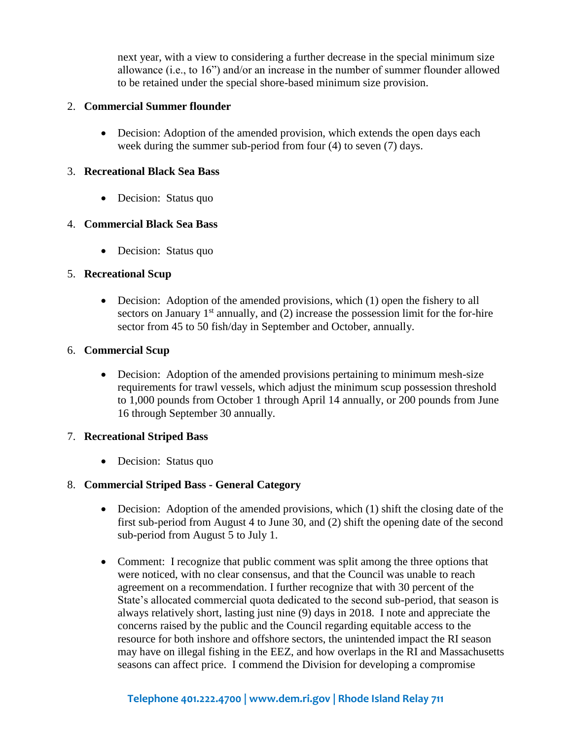next year, with a view to considering a further decrease in the special minimum size allowance (i.e., to 16") and/or an increase in the number of summer flounder allowed to be retained under the special shore-based minimum size provision.

#### 2. **Commercial Summer flounder**

• Decision: Adoption of the amended provision, which extends the open days each week during the summer sub-period from four (4) to seven (7) days.

#### 3. **Recreational Black Sea Bass**

• Decision: Status quo

#### 4. **Commercial Black Sea Bass**

• Decision: Status quo

# 5. **Recreational Scup**

• Decision: Adoption of the amended provisions, which (1) open the fishery to all sectors on January  $1<sup>st</sup>$  annually, and (2) increase the possession limit for the for-hire sector from 45 to 50 fish/day in September and October, annually.

#### 6. **Commercial Scup**

• Decision: Adoption of the amended provisions pertaining to minimum mesh-size requirements for trawl vessels, which adjust the minimum scup possession threshold to 1,000 pounds from October 1 through April 14 annually, or 200 pounds from June 16 through September 30 annually.

#### 7. **Recreational Striped Bass**

• Decision: Status quo

# 8. **Commercial Striped Bass - General Category**

- Decision: Adoption of the amended provisions, which (1) shift the closing date of the first sub-period from August 4 to June 30, and (2) shift the opening date of the second sub-period from August 5 to July 1.
- Comment: I recognize that public comment was split among the three options that were noticed, with no clear consensus, and that the Council was unable to reach agreement on a recommendation. I further recognize that with 30 percent of the State's allocated commercial quota dedicated to the second sub-period, that season is always relatively short, lasting just nine (9) days in 2018. I note and appreciate the concerns raised by the public and the Council regarding equitable access to the resource for both inshore and offshore sectors, the unintended impact the RI season may have on illegal fishing in the EEZ, and how overlaps in the RI and Massachusetts seasons can affect price. I commend the Division for developing a compromise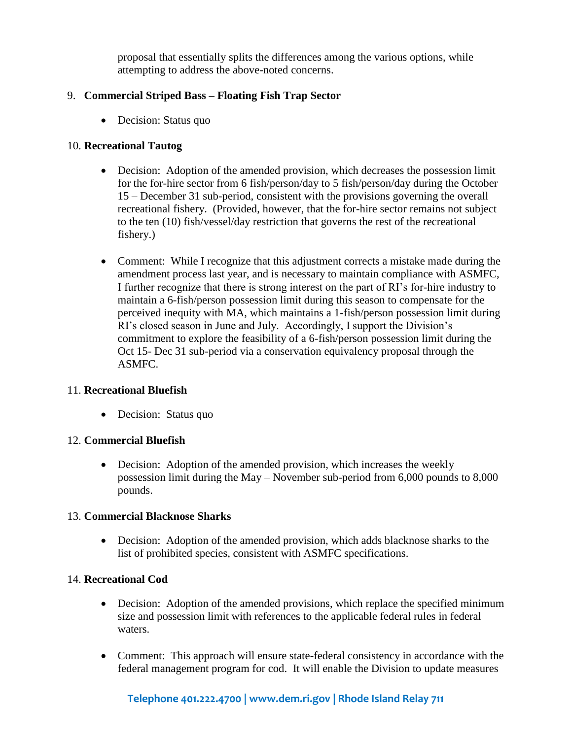proposal that essentially splits the differences among the various options, while attempting to address the above-noted concerns.

# 9. **Commercial Striped Bass – Floating Fish Trap Sector**

• Decision: Status quo

# 10. **Recreational Tautog**

- Decision: Adoption of the amended provision, which decreases the possession limit for the for-hire sector from 6 fish/person/day to 5 fish/person/day during the October 15 – December 31 sub-period, consistent with the provisions governing the overall recreational fishery. (Provided, however, that the for-hire sector remains not subject to the ten (10) fish/vessel/day restriction that governs the rest of the recreational fishery.)
- Comment: While I recognize that this adjustment corrects a mistake made during the amendment process last year, and is necessary to maintain compliance with ASMFC, I further recognize that there is strong interest on the part of RI's for-hire industry to maintain a 6-fish/person possession limit during this season to compensate for the perceived inequity with MA, which maintains a 1-fish/person possession limit during RI's closed season in June and July. Accordingly, I support the Division's commitment to explore the feasibility of a 6-fish/person possession limit during the Oct 15- Dec 31 sub-period via a conservation equivalency proposal through the ASMFC.

#### 11. **Recreational Bluefish**

• Decision: Status quo

#### 12. **Commercial Bluefish**

• Decision: Adoption of the amended provision, which increases the weekly possession limit during the May – November sub-period from 6,000 pounds to 8,000 pounds.

#### 13. **Commercial Blacknose Sharks**

• Decision: Adoption of the amended provision, which adds blacknose sharks to the list of prohibited species, consistent with ASMFC specifications.

#### 14. **Recreational Cod**

- Decision: Adoption of the amended provisions, which replace the specified minimum size and possession limit with references to the applicable federal rules in federal waters.
- Comment: This approach will ensure state-federal consistency in accordance with the federal management program for cod. It will enable the Division to update measures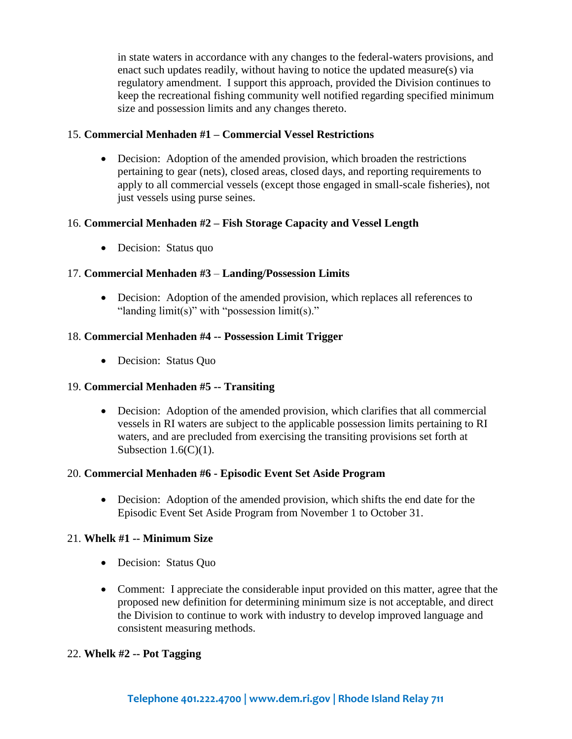in state waters in accordance with any changes to the federal-waters provisions, and enact such updates readily, without having to notice the updated measure(s) via regulatory amendment. I support this approach, provided the Division continues to keep the recreational fishing community well notified regarding specified minimum size and possession limits and any changes thereto.

#### 15. **Commercial Menhaden #1 – Commercial Vessel Restrictions**

• Decision: Adoption of the amended provision, which broaden the restrictions pertaining to gear (nets), closed areas, closed days, and reporting requirements to apply to all commercial vessels (except those engaged in small-scale fisheries), not just vessels using purse seines.

# 16. **Commercial Menhaden #2 – Fish Storage Capacity and Vessel Length**

• Decision: Status quo

#### 17. **Commercial Menhaden #3** – **Landing/Possession Limits**

• Decision: Adoption of the amended provision, which replaces all references to "landing limit(s)" with "possession limit(s)."

#### 18. **Commercial Menhaden #4 -- Possession Limit Trigger**

• Decision: Status Quo

#### 19. **Commercial Menhaden #5 -- Transiting**

• Decision: Adoption of the amended provision, which clarifies that all commercial vessels in RI waters are subject to the applicable possession limits pertaining to RI waters, and are precluded from exercising the transiting provisions set forth at Subsection  $1.6(C)(1)$ .

#### 20. **Commercial Menhaden #6 - Episodic Event Set Aside Program**

• Decision: Adoption of the amended provision, which shifts the end date for the Episodic Event Set Aside Program from November 1 to October 31.

#### 21. **Whelk #1 -- Minimum Size**

- Decision: Status Quo
- Comment: I appreciate the considerable input provided on this matter, agree that the proposed new definition for determining minimum size is not acceptable, and direct the Division to continue to work with industry to develop improved language and consistent measuring methods.

#### 22. **Whelk #2 -- Pot Tagging**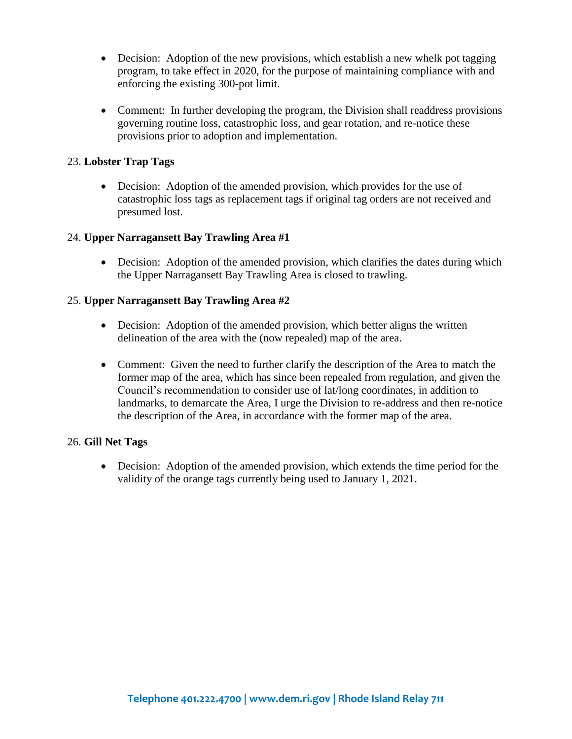- Decision: Adoption of the new provisions, which establish a new whelk pot tagging program, to take effect in 2020, for the purpose of maintaining compliance with and enforcing the existing 300-pot limit.
- Comment: In further developing the program, the Division shall readdress provisions governing routine loss, catastrophic loss, and gear rotation, and re-notice these provisions prior to adoption and implementation.

### 23. **Lobster Trap Tags**

• Decision: Adoption of the amended provision, which provides for the use of catastrophic loss tags as replacement tags if original tag orders are not received and presumed lost.

#### 24. **Upper Narragansett Bay Trawling Area #1**

• Decision: Adoption of the amended provision, which clarifies the dates during which the Upper Narragansett Bay Trawling Area is closed to trawling.

#### 25. **Upper Narragansett Bay Trawling Area #2**

- Decision: Adoption of the amended provision, which better aligns the written delineation of the area with the (now repealed) map of the area.
- Comment: Given the need to further clarify the description of the Area to match the former map of the area, which has since been repealed from regulation, and given the Council's recommendation to consider use of lat/long coordinates, in addition to landmarks, to demarcate the Area, I urge the Division to re-address and then re-notice the description of the Area, in accordance with the former map of the area.

#### 26. **Gill Net Tags**

• Decision: Adoption of the amended provision, which extends the time period for the validity of the orange tags currently being used to January 1, 2021.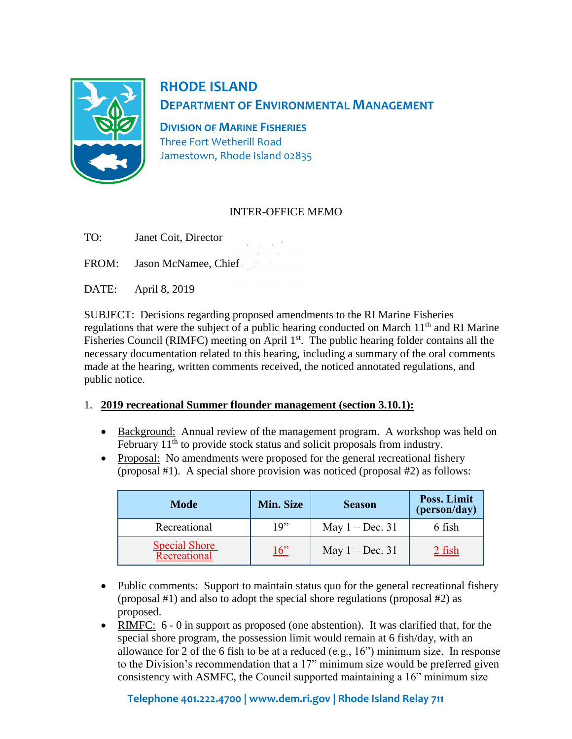

# **RHODE ISLAND DEPARTMENT OF ENVIRONMENTAL MANAGEMENT**

**DIVISION OF MARINE FISHERIES** Three Fort Wetherill Road Jamestown, Rhode Island 02835

# INTER-OFFICE MEMO

TO: Janet Coit, Director

FROM: Jason McNamee, Chief

DATE: April 8, 2019

SUBJECT: Decisions regarding proposed amendments to the RI Marine Fisheries regulations that were the subject of a public hearing conducted on March  $11<sup>th</sup>$  and RI Marine Fisheries Council (RIMFC) meeting on April 1<sup>st</sup>. The public hearing folder contains all the necessary documentation related to this hearing, including a summary of the oral comments made at the hearing, written comments received, the noticed annotated regulations, and public notice.

# 1. **2019 recreational Summer flounder management (section 3.10.1):**

- Background: Annual review of the management program. A workshop was held on February 11<sup>th</sup> to provide stock status and solicit proposals from industry.
- Proposal: No amendments were proposed for the general recreational fishery (proposal #1). A special shore provision was noticed (proposal #2) as follows:

| Mode                                 | <b>Min. Size</b> | <b>Season</b>     | Poss. Limit<br>(person/day) |
|--------------------------------------|------------------|-------------------|-----------------------------|
| Recreational                         | 19"              | May $1 - Dec. 31$ | 6 fish                      |
| <b>Special Shore</b><br>Recreational | 16"              | May $1 - Dec. 31$ | 2 fish                      |

- Public comments: Support to maintain status quo for the general recreational fishery (proposal #1) and also to adopt the special shore regulations (proposal #2) as proposed.
- RIMFC: 6 0 in support as proposed (one abstention). It was clarified that, for the special shore program, the possession limit would remain at 6 fish/day, with an allowance for 2 of the 6 fish to be at a reduced (e.g., 16") minimum size. In response to the Division's recommendation that a 17" minimum size would be preferred given consistency with ASMFC, the Council supported maintaining a 16" minimum size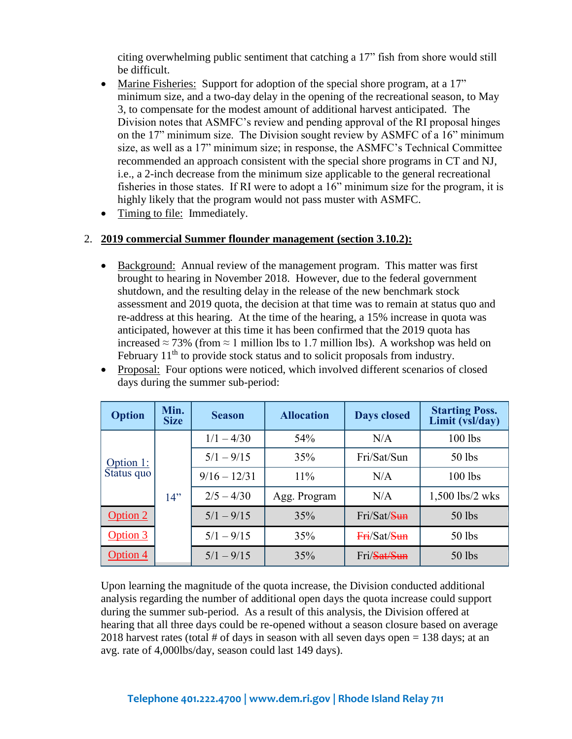citing overwhelming public sentiment that catching a 17" fish from shore would still be difficult.

- Marine Fisheries: Support for adoption of the special shore program, at a 17" minimum size, and a two-day delay in the opening of the recreational season, to May 3, to compensate for the modest amount of additional harvest anticipated. The Division notes that ASMFC's review and pending approval of the RI proposal hinges on the 17" minimum size. The Division sought review by ASMFC of a 16" minimum size, as well as a 17" minimum size; in response, the ASMFC's Technical Committee recommended an approach consistent with the special shore programs in CT and NJ, i.e., a 2-inch decrease from the minimum size applicable to the general recreational fisheries in those states. If RI were to adopt a 16" minimum size for the program, it is highly likely that the program would not pass muster with ASMFC.
- Timing to file: Immediately.

#### 2. **2019 commercial Summer flounder management (section 3.10.2):**

- Background: Annual review of the management program. This matter was first brought to hearing in November 2018. However, due to the federal government shutdown, and the resulting delay in the release of the new benchmark stock assessment and 2019 quota, the decision at that time was to remain at status quo and re-address at this hearing. At the time of the hearing, a 15% increase in quota was anticipated, however at this time it has been confirmed that the 2019 quota has increased  $\approx$  73% (from  $\approx$  1 million lbs to 1.7 million lbs). A workshop was held on February  $11<sup>th</sup>$  to provide stock status and to solicit proposals from industry.
- Proposal: Four options were noticed, which involved different scenarios of closed days during the summer sub-period:

| <b>Option</b>           | Min.<br><b>Size</b> | <b>Season</b>  | <b>Allocation</b> | <b>Days closed</b> | <b>Starting Poss.</b><br>Limit (vsl/day) |
|-------------------------|---------------------|----------------|-------------------|--------------------|------------------------------------------|
| Option 1:<br>Status quo |                     | $1/1 - 4/30$   | 54%               | N/A                | 100 lbs                                  |
|                         |                     | $5/1 - 9/15$   | 35%               | Fri/Sat/Sun        | 50 lbs                                   |
|                         |                     | $9/16 - 12/31$ | $11\%$            | N/A                | $100$ lbs                                |
|                         | 14"                 | $2/5 - 4/30$   | Agg. Program      | N/A                | $1,500$ lbs/2 wks                        |
| Option 2                |                     | $5/1 - 9/15$   | 35%               | Fri/Sat/Sun        | 50 lbs                                   |
| Option 3                |                     | $5/1 - 9/15$   | 35%               | Fri/Sat/Sun        | 50 lbs                                   |
| Option 4                |                     | $5/1 - 9/15$   | 35%               | Fri/Sat/Sun        | 50 lbs                                   |

Upon learning the magnitude of the quota increase, the Division conducted additional analysis regarding the number of additional open days the quota increase could support during the summer sub-period. As a result of this analysis, the Division offered at hearing that all three days could be re-opened without a season closure based on average 2018 harvest rates (total  $#$  of days in season with all seven days open  $= 138$  days; at an avg. rate of 4,000lbs/day, season could last 149 days).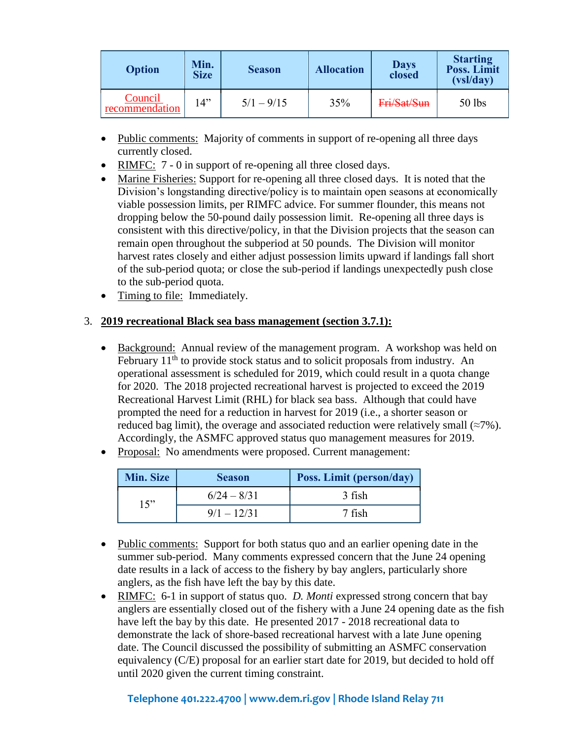| <b>Option</b>             | Min.<br><b>Size</b> | <b>Season</b> | <b>Allocation</b> | <b>Days</b><br>closed | <b>Starting</b><br>Poss. Limit<br>(vsl/day) |
|---------------------------|---------------------|---------------|-------------------|-----------------------|---------------------------------------------|
| Council<br>recommendation | 14"                 | $5/1 - 9/15$  | 35%               | Fri/Sat/Sun           | $50$ lbs                                    |

- Public comments: Majority of comments in support of re-opening all three days currently closed.
- RIMFC: 7 0 in support of re-opening all three closed days.
- Marine Fisheries: Support for re-opening all three closed days. It is noted that the Division's longstanding directive/policy is to maintain open seasons at economically viable possession limits, per RIMFC advice. For summer flounder, this means not dropping below the 50-pound daily possession limit. Re-opening all three days is consistent with this directive/policy, in that the Division projects that the season can remain open throughout the subperiod at 50 pounds. The Division will monitor harvest rates closely and either adjust possession limits upward if landings fall short of the sub-period quota; or close the sub-period if landings unexpectedly push close to the sub-period quota.
- Timing to file: Immediately.

# 3. **2019 recreational Black sea bass management (section 3.7.1):**

- Background: Annual review of the management program. A workshop was held on February  $11<sup>th</sup>$  to provide stock status and to solicit proposals from industry. An operational assessment is scheduled for 2019, which could result in a quota change for 2020. The 2018 projected recreational harvest is projected to exceed the 2019 Recreational Harvest Limit (RHL) for black sea bass. Although that could have prompted the need for a reduction in harvest for 2019 (i.e., a shorter season or reduced bag limit), the overage and associated reduction were relatively small ( $\approx$ 7%). Accordingly, the ASMFC approved status quo management measures for 2019.
- Proposal: No amendments were proposed. Current management:

| Min. Size | <b>Season</b> | <b>Poss. Limit (person/day)</b> |
|-----------|---------------|---------------------------------|
| 15"       | $6/24 - 8/31$ | 3 fish                          |
|           | $9/1 - 12/31$ | 7 fish                          |

- Public comments: Support for both status quo and an earlier opening date in the summer sub-period. Many comments expressed concern that the June 24 opening date results in a lack of access to the fishery by bay anglers, particularly shore anglers, as the fish have left the bay by this date.
- RIMFC: 6-1 in support of status quo. *D. Monti* expressed strong concern that bay anglers are essentially closed out of the fishery with a June 24 opening date as the fish have left the bay by this date. He presented 2017 - 2018 recreational data to demonstrate the lack of shore-based recreational harvest with a late June opening date. The Council discussed the possibility of submitting an ASMFC conservation equivalency (C/E) proposal for an earlier start date for 2019, but decided to hold off until 2020 given the current timing constraint.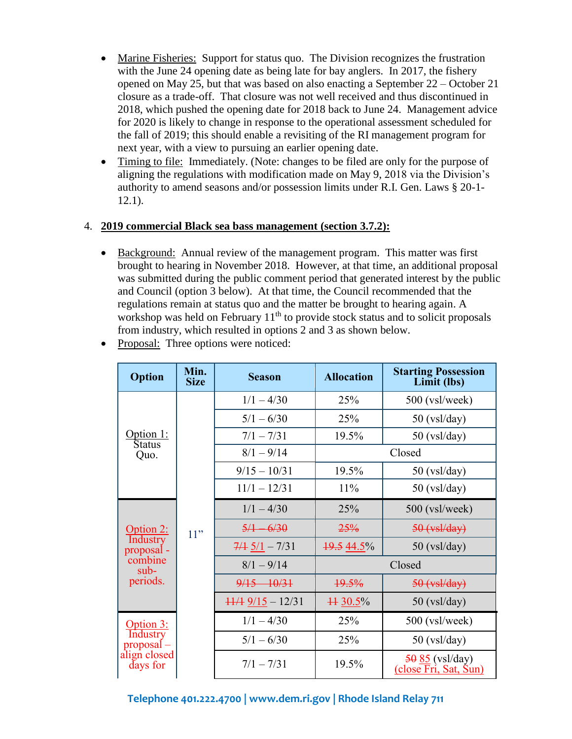- Marine Fisheries: Support for status quo. The Division recognizes the frustration with the June 24 opening date as being late for bay anglers. In 2017, the fishery opened on May 25, but that was based on also enacting a September 22 – October 21 closure as a trade-off. That closure was not well received and thus discontinued in 2018, which pushed the opening date for 2018 back to June 24. Management advice for 2020 is likely to change in response to the operational assessment scheduled for the fall of 2019; this should enable a revisiting of the RI management program for next year, with a view to pursuing an earlier opening date.
- Timing to file: Immediately. (Note: changes to be filed are only for the purpose of aligning the regulations with modification made on May 9, 2018 via the Division's authority to amend seasons and/or possession limits under R.I. Gen. Laws § 20-1- 12.1).

#### 4. **2019 commercial Black sea bass management (section 3.7.2):**

• Background: Annual review of the management program. This matter was first brought to hearing in November 2018. However, at that time, an additional proposal was submitted during the public comment period that generated interest by the public and Council (option 3 below). At that time, the Council recommended that the regulations remain at status quo and the matter be brought to hearing again. A workshop was held on February  $11<sup>th</sup>$  to provide stock status and to solicit proposals from industry, which resulted in options 2 and 3 as shown below.

| <b>Option</b>                                                                 | Min.<br><b>Size</b> | <b>Season</b>               | <b>Allocation</b> | <b>Starting Possession</b><br>Limit (lbs)                         |
|-------------------------------------------------------------------------------|---------------------|-----------------------------|-------------------|-------------------------------------------------------------------|
|                                                                               |                     | $1/1 - 4/30$                | 25%               | 500 (vsl/week)                                                    |
|                                                                               |                     | $5/1 - 6/30$                | 25%               | $50$ (vsl/day)                                                    |
| Option 1:<br><b>Status</b>                                                    |                     | $7/1 - 7/31$                | 19.5%             | $50$ (vsl/day)                                                    |
| Quo.                                                                          |                     | $8/1 - 9/14$                |                   | Closed                                                            |
|                                                                               |                     | $9/15 - 10/31$              | 19.5%             | $50$ (vsl/day)                                                    |
|                                                                               |                     | $11/1 - 12/31$              | 11%               | $50$ (vsl/day)                                                    |
|                                                                               | 11"                 | $1/1 - 4/30$                | 25%               | 500 (vsl/week)                                                    |
| Option 2:                                                                     |                     | $5/1 - 6/30$                | 25%               | $50$ (vsl/day)                                                    |
| Industry<br>proposal -                                                        |                     | $7/4$ $5/1 - 7/31$          | 19.5 44.5%        | $50$ (vsl/day)                                                    |
| combine<br>$sub-$                                                             |                     | $8/1 - 9/14$                |                   | Closed                                                            |
| periods.                                                                      |                     | $9/15 - 10/31$              | 19.5%             | $50$ (vsl/day)                                                    |
|                                                                               |                     | $\frac{11}{4}$ 9/15 - 12/31 | $4430.5\%$        | $50$ (vsl/day)                                                    |
| <u>Option 3:</u><br><b>Industry</b><br>proposal –<br>align closed<br>days for |                     | $1/1 - 4/30$                | 25%               | 500 (vsl/week)                                                    |
|                                                                               |                     | $5/1 - 6/30$                | 25%               | $50$ (vsl/day)                                                    |
|                                                                               |                     | $7/1 - 7/31$                | 19.5%             | $5085$ (vsl/day)<br>$(close \overline{Fr}i, Sat, \overline{Sun})$ |

• Proposal: Three options were noticed: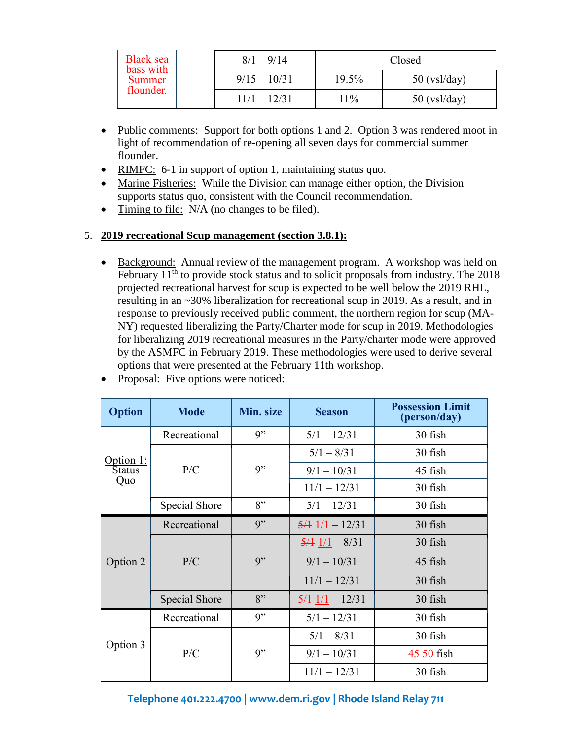| <b>Black sea</b><br>bass with<br>Summer<br>flounder. | $8/1 - 9/14$ |                | Closed |                |
|------------------------------------------------------|--------------|----------------|--------|----------------|
|                                                      |              | $9/15 - 10/31$ | 19.5%  | $50$ (vsl/day) |
|                                                      |              | $11/1 - 12/31$ | $11\%$ | $50$ (vsl/day) |

- Public comments: Support for both options 1 and 2. Option 3 was rendered moot in light of recommendation of re-opening all seven days for commercial summer flounder.
- RIMFC: 6-1 in support of option 1, maintaining status quo.
- Marine Fisheries: While the Division can manage either option, the Division supports status quo, consistent with the Council recommendation.
- Timing to file: N/A (no changes to be filed).

# 5. **2019 recreational Scup management (section 3.8.1):**

• Background: Annual review of the management program. A workshop was held on February  $11<sup>th</sup>$  to provide stock status and to solicit proposals from industry. The 2018 projected recreational harvest for scup is expected to be well below the 2019 RHL, resulting in an ~30% liberalization for recreational scup in 2019. As a result, and in response to previously received public comment, the northern region for scup (MA-NY) requested liberalizing the Party/Charter mode for scup in 2019. Methodologies for liberalizing 2019 recreational measures in the Party/charter mode were approved by the ASMFC in February 2019. These methodologies were used to derive several options that were presented at the February 11th workshop.

| <b>Option</b> | <b>Mode</b>   | Min. size | <b>Season</b>               | <b>Possession Limit</b><br>(person/day) |
|---------------|---------------|-----------|-----------------------------|-----------------------------------------|
| Option 1:     | Recreational  | 9"        | $5/1 - 12/31$               | 30 fish                                 |
|               |               |           | $5/1 - 8/31$                | 30 fish                                 |
| Status        | P/C           | 9"        | $9/1 - 10/31$               | 45 fish                                 |
| Quo           |               |           | $11/1 - 12/31$              | 30 fish                                 |
|               | Special Shore | 8"        | $5/1 - 12/31$               | 30 fish                                 |
|               | Recreational  | 9"        | $\frac{5}{4}$ $1/1 - 12/31$ | 30 fish                                 |
|               | P/C           | 9"        | $5/4$ $1/1 - 8/31$          | 30 fish                                 |
| Option 2      |               |           | $9/1 - 10/31$               | 45 fish                                 |
|               |               |           | $11/1 - 12/31$              | 30 fish                                 |
|               | Special Shore | 8"        | $\frac{5}{4}$ $1/1 - 12/31$ | 30 fish                                 |
|               | Recreational  | 9"        | $5/1 - 12/31$               | 30 fish                                 |
|               |               |           | $5/1 - 8/31$                | 30 fish                                 |
| Option 3      | P/C           | 9"        | $9/1 - 10/31$               | 45 50 fish                              |
|               |               |           | $11/1 - 12/31$              | 30 fish                                 |

• Proposal: Five options were noticed: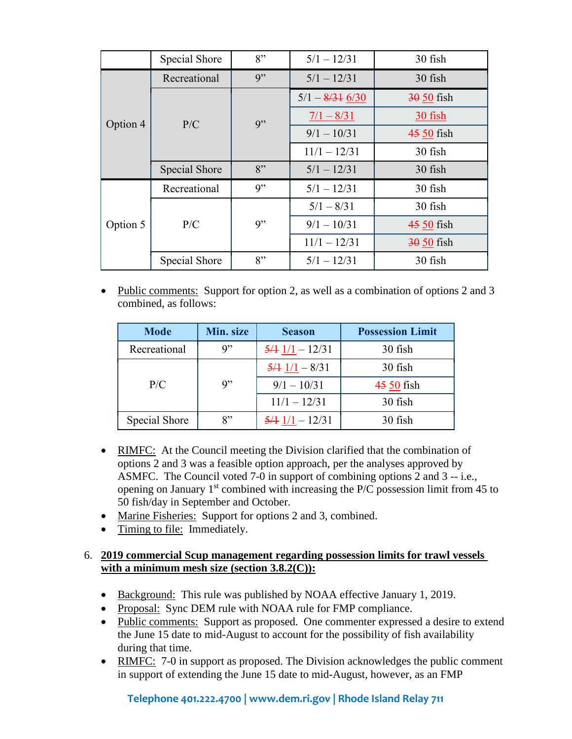|          | Special Shore | 8" | $5/1 - 12/31$                     | 30 fish     |
|----------|---------------|----|-----------------------------------|-------------|
|          | Recreational  | 9" | $5/1 - 12/31$                     | 30 fish     |
|          |               |    | $5/1 - \frac{8}{31} \frac{6}{30}$ | $3050$ fish |
| Option 4 | P/C           | 9" | $\frac{7}{1} - \frac{8}{31}$      | 30 fish     |
|          |               |    | $9/1 - 10/31$                     | 45 50 fish  |
|          |               |    | $11/1 - 12/31$                    | 30 fish     |
|          | Special Shore | 8" | $5/1 - 12/31$                     | 30 fish     |
|          | Recreational  | 9" | $5/1 - 12/31$                     | 30 fish     |
|          | P/C           | 9" | $5/1 - 8/31$                      | 30 fish     |
| Option 5 |               |    | $9/1 - 10/31$                     | 45 50 fish  |
|          |               |    | $11/1 - 12/31$                    | $3050$ fish |
|          | Special Shore | 8" | $5/1 - 12/31$                     | 30 fish     |

• Public comments: Support for option 2, as well as a combination of options 2 and 3 combined, as follows:

| <b>Mode</b>   | Min. size         | <b>Season</b>                                 | <b>Possession Limit</b> |
|---------------|-------------------|-----------------------------------------------|-------------------------|
| Recreational  | $Q$ <sup>22</sup> | $\frac{5}{4}$ $1/1 - 12/31$                   | 30 fish                 |
|               |                   | $\frac{5}{4}$ $1/1 - \frac{8}{31}$            | 30 fish                 |
| P/C           | q"                | $9/1 - 10/31$                                 | 45 50 fish              |
|               |                   | $11/1 - 12/31$                                | 30 fish                 |
| Special Shore | $8$ "             | $\frac{5}{4}$ $\frac{1}{1}$ - $\frac{12}{31}$ | 30 fish                 |

- RIMFC: At the Council meeting the Division clarified that the combination of options 2 and 3 was a feasible option approach, per the analyses approved by ASMFC. The Council voted 7-0 in support of combining options 2 and 3 -- i.e., opening on January  $1<sup>st</sup>$  combined with increasing the P/C possession limit from 45 to 50 fish/day in September and October.
- Marine Fisheries: Support for options 2 and 3, combined.
- Timing to file: Immediately.

#### 6. **2019 commercial Scup management regarding possession limits for trawl vessels with a minimum mesh size (section 3.8.2(C)):**

- Background: This rule was published by NOAA effective January 1, 2019.
- Proposal: Sync DEM rule with NOAA rule for FMP compliance.
- Public comments: Support as proposed. One commenter expressed a desire to extend the June 15 date to mid-August to account for the possibility of fish availability during that time.
- RIMFC: 7-0 in support as proposed. The Division acknowledges the public comment in support of extending the June 15 date to mid-August, however, as an FMP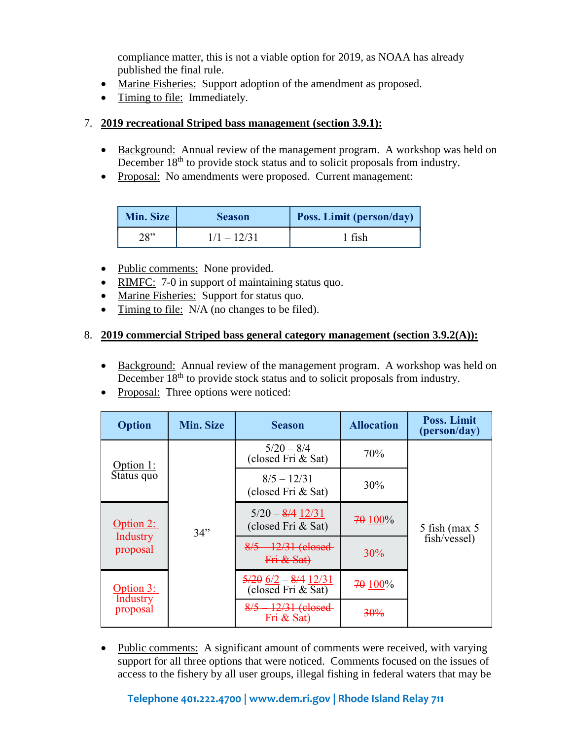compliance matter, this is not a viable option for 2019, as NOAA has already published the final rule.

- Marine Fisheries: Support adoption of the amendment as proposed.
- Timing to file: Immediately.

# 7. **2019 recreational Striped bass management (section 3.9.1):**

- Background: Annual review of the management program. A workshop was held on December 18<sup>th</sup> to provide stock status and to solicit proposals from industry.
- Proposal: No amendments were proposed.Current management:

| Min. Size | <b>Season</b> | Poss. Limit (person/day) |
|-----------|---------------|--------------------------|
| 28"       | $1/1 - 12/31$ | 1 fish                   |

- Public comments: None provided.
- RIMFC: 7-0 in support of maintaining status quo.
- Marine Fisheries: Support for status quo.
- Timing to file: N/A (no changes to be filed).

# 8. **2019 commercial Striped bass general category management (section 3.9.2(A)):**

- Background: Annual review of the management program. A workshop was held on December 18<sup>th</sup> to provide stock status and to solicit proposals from industry.
- Proposal: Three options were noticed:

| <b>Option</b>        | <b>Min. Size</b> | <b>Season</b>                                                         | <b>Allocation</b> | <b>Poss. Limit</b><br>(person/day) |
|----------------------|------------------|-----------------------------------------------------------------------|-------------------|------------------------------------|
| Option $1$ :         |                  | $5/20 - 8/4$<br>(closed Fri & Sat)                                    | 70%               |                                    |
| Status quo           |                  | $8/5 - 12/31$<br>(closed Fri & Sat)                                   | 30%               |                                    |
| $Option 2$ :         | 34"              | $5/20 - 8/4$ $12/31$<br>(closed Fri & Sat)                            | 70 100%           | $5$ fish (max $5$                  |
| Industry<br>proposal |                  | $8/5 - 12/31$ (closed<br>Fri & Sat)                                   | 30%               | fish/vessel)                       |
| Option 3:            |                  | $\frac{5}{20}$ 6/2 - 8/4 12/31<br>$\left($ closed Fri & Sat $\right)$ | 70 100%           |                                    |
| Industry<br>proposal |                  | $8/5 - 12/31$ (closed                                                 | <del>30%</del>    |                                    |

• Public comments: A significant amount of comments were received, with varying support for all three options that were noticed. Comments focused on the issues of access to the fishery by all user groups, illegal fishing in federal waters that may be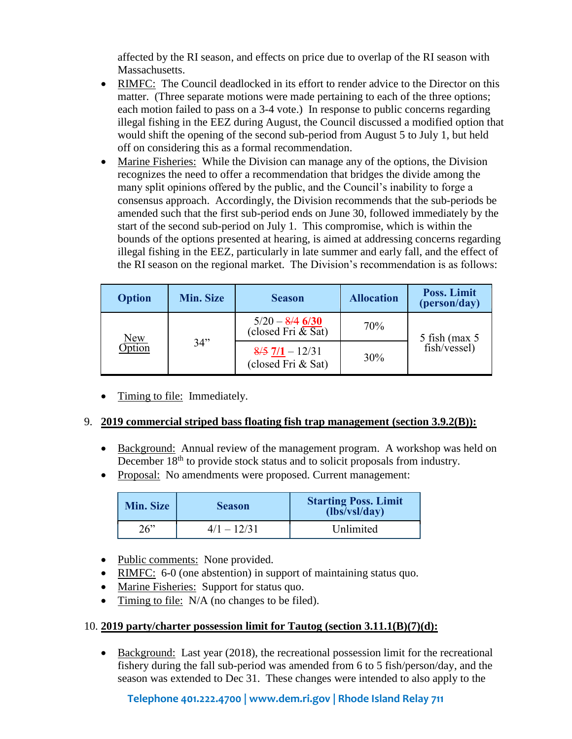affected by the RI season, and effects on price due to overlap of the RI season with Massachusetts.

- RIMFC: The Council deadlocked in its effort to render advice to the Director on this matter. (Three separate motions were made pertaining to each of the three options; each motion failed to pass on a 3-4 vote.) In response to public concerns regarding illegal fishing in the EEZ during August, the Council discussed a modified option that would shift the opening of the second sub-period from August 5 to July 1, but held off on considering this as a formal recommendation.
- Marine Fisheries: While the Division can manage any of the options, the Division recognizes the need to offer a recommendation that bridges the divide among the many split opinions offered by the public, and the Council's inability to forge a consensus approach. Accordingly, the Division recommends that the sub-periods be amended such that the first sub-period ends on June 30, followed immediately by the start of the second sub-period on July 1. This compromise, which is within the bounds of the options presented at hearing, is aimed at addressing concerns regarding illegal fishing in the EEZ, particularly in late summer and early fall, and the effect of the RI season on the regional market. The Division's recommendation is as follows:

| <b>Option</b>               | <b>Min. Size</b> | <b>Season</b>                                             | <b>Allocation</b> | Poss. Limit<br>(person/day)       |
|-----------------------------|------------------|-----------------------------------------------------------|-------------------|-----------------------------------|
| <u>New</u><br><b>Option</b> | 34"              | $5/20 - 8/4$ 6/30<br>(closed Fri & Sat)                   | 70%               | $5$ fish (max $5$<br>fish/vessel) |
|                             |                  | $\frac{8}{5}$ $\frac{7}{1}$ - 12/31<br>(closed Fri & Sat) | 30%               |                                   |

• Timing to file: Immediately.

#### 9. **2019 commercial striped bass floating fish trap management (section 3.9.2(B)):**

- Background: Annual review of the management program. A workshop was held on December 18<sup>th</sup> to provide stock status and to solicit proposals from industry.
- Proposal: No amendments were proposed. Current management:

| <b>Min. Size</b> | <b>Season</b> | <b>Starting Poss. Limit</b><br>(lbs/vsl/day) |  |
|------------------|---------------|----------------------------------------------|--|
| 26"              | $4/1 - 12/31$ | Unlimited                                    |  |

- Public comments: None provided.
- RIMFC: 6-0 (one abstention) in support of maintaining status quo.
- Marine Fisheries: Support for status quo.
- Timing to file: N/A (no changes to be filed).

#### 10. **2019 party/charter possession limit for Tautog (section 3.11.1(B)(7)(d):**

• Background: Last year (2018), the recreational possession limit for the recreational fishery during the fall sub-period was amended from 6 to 5 fish/person/day, and the season was extended to Dec 31. These changes were intended to also apply to the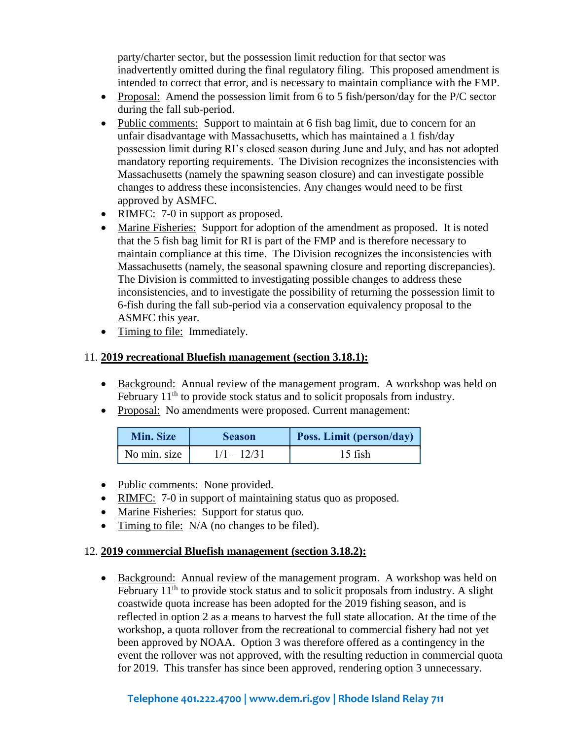party/charter sector, but the possession limit reduction for that sector was inadvertently omitted during the final regulatory filing. This proposed amendment is intended to correct that error, and is necessary to maintain compliance with the FMP.

- Proposal: Amend the possession limit from 6 to 5 fish/person/day for the P/C sector during the fall sub-period.
- Public comments: Support to maintain at 6 fish bag limit, due to concern for an unfair disadvantage with Massachusetts, which has maintained a 1 fish/day possession limit during RI's closed season during June and July, and has not adopted mandatory reporting requirements. The Division recognizes the inconsistencies with Massachusetts (namely the spawning season closure) and can investigate possible changes to address these inconsistencies. Any changes would need to be first approved by ASMFC.
- RIMFC: 7-0 in support as proposed.
- Marine Fisheries: Support for adoption of the amendment as proposed. It is noted that the 5 fish bag limit for RI is part of the FMP and is therefore necessary to maintain compliance at this time. The Division recognizes the inconsistencies with Massachusetts (namely, the seasonal spawning closure and reporting discrepancies). The Division is committed to investigating possible changes to address these inconsistencies, and to investigate the possibility of returning the possession limit to 6-fish during the fall sub-period via a conservation equivalency proposal to the ASMFC this year.
- Timing to file: Immediately.

#### 11. **2019 recreational Bluefish management (section 3.18.1):**

- Background: Annual review of the management program. A workshop was held on February 11<sup>th</sup> to provide stock status and to solicit proposals from industry.
- Proposal: No amendments were proposed. Current management:

| <b>Min. Size</b> | <b>Season</b> | Poss. Limit (person/day) |
|------------------|---------------|--------------------------|
| No min. size     | $1/1 - 12/31$ | 15 fish                  |

- Public comments: None provided.
- RIMFC: 7-0 in support of maintaining status quo as proposed.
- Marine Fisheries: Support for status quo.
- Timing to file: N/A (no changes to be filed).

#### 12. **2019 commercial Bluefish management (section 3.18.2):**

• Background: Annual review of the management program. A workshop was held on  $\sqrt{\text{February 11}}$ <sup>th</sup> to provide stock status and to solicit proposals from industry. A slight coastwide quota increase has been adopted for the 2019 fishing season, and is reflected in option 2 as a means to harvest the full state allocation. At the time of the workshop, a quota rollover from the recreational to commercial fishery had not yet been approved by NOAA. Option 3 was therefore offered as a contingency in the event the rollover was not approved, with the resulting reduction in commercial quota for 2019. This transfer has since been approved, rendering option 3 unnecessary.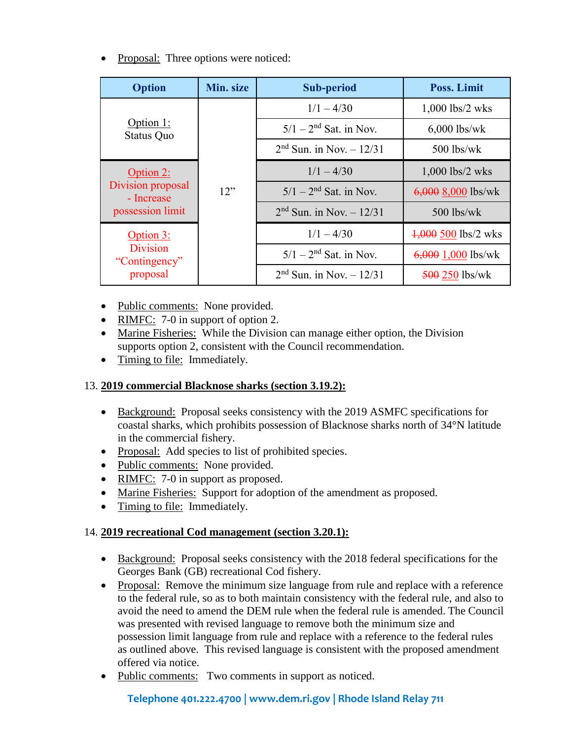• Proposal: Three options were noticed:

| <b>Option</b>                    | Min. size | <b>Sub-period</b>          | Poss. Limit           |
|----------------------------------|-----------|----------------------------|-----------------------|
|                                  |           | $1/1 - 4/30$               | 1,000 lbs/2 wks       |
| Option 1:<br><b>Status Quo</b>   |           | $5/1 - 2nd$ Sat. in Nov.   | $6,000$ lbs/wk        |
|                                  |           | $2nd$ Sun. in Nov. - 12/31 | $500$ lbs/wk          |
| Option 2:                        | 12"       | $1/1 - 4/30$               | $1,000$ lbs/2 wks     |
| Division proposal<br>- Increase  |           | $5/1 - 2nd$ Sat. in Nov.   | $6,000$ 8,000 lbs/wk  |
| possession limit                 |           | $2nd$ Sun. in Nov. - 12/31 | $500$ lbs/wk          |
| Option 3:                        |           | $1/1 - 4/30$               | $4,000$ 500 lbs/2 wks |
| <b>Division</b><br>"Contingency" |           | $5/1-2^{nd}$ Sat. in Nov.  | $6,000$ 1,000 lbs/wk  |
| proposal                         |           | $2nd$ Sun. in Nov. - 12/31 | $500250$ lbs/wk       |

- Public comments: None provided.
- RIMFC: 7-0 in support of option 2.
- Marine Fisheries: While the Division can manage either option, the Division supports option 2, consistent with the Council recommendation.
- Timing to file: Immediately.

# 13. **2019 commercial Blacknose sharks (section 3.19.2):**

- Background: Proposal seeks consistency with the 2019 ASMFC specifications for coastal sharks, which prohibits possession of Blacknose sharks north of 34°N latitude in the commercial fishery.
- Proposal: Add species to list of prohibited species.
- Public comments: None provided.
- RIMFC: 7-0 in support as proposed.
- Marine Fisheries: Support for adoption of the amendment as proposed.
- Timing to file: Immediately.

# 14. **2019 recreational Cod management (section 3.20.1):**

- Background: Proposal seeks consistency with the 2018 federal specifications for the Georges Bank (GB) recreational Cod fishery.
- Proposal: Remove the minimum size language from rule and replace with a reference to the federal rule, so as to both maintain consistency with the federal rule, and also to avoid the need to amend the DEM rule when the federal rule is amended. The Council was presented with revised language to remove both the minimum size and possession limit language from rule and replace with a reference to the federal rules as outlined above. This revised language is consistent with the proposed amendment offered via notice.
- Public comments: Two comments in support as noticed.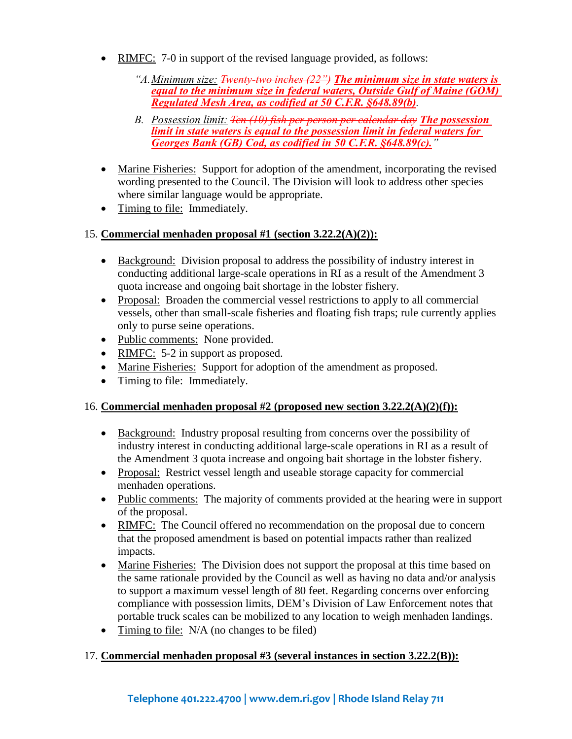- RIMFC: 7-0 in support of the revised language provided, as follows:
	- *"A.Minimum size: Twenty-two inches (22") The minimum size in state waters is equal to the minimum size in federal waters, Outside Gulf of Maine (GOM) Regulated Mesh Area, as codified at 50 C.F.R. §648.89(b).*
	- *B. Possession limit: Ten (10) fish per person per calendar day The possession limit in state waters is equal to the possession limit in federal waters for Georges Bank (GB) Cod, as codified in 50 C.F.R. §648.89(c)."*
- Marine Fisheries: Support for adoption of the amendment, incorporating the revised wording presented to the Council. The Division will look to address other species where similar language would be appropriate.
- Timing to file: Immediately.

# 15. **Commercial menhaden proposal #1 (section 3.22.2(A)(2)):**

- Background: Division proposal to address the possibility of industry interest in conducting additional large-scale operations in RI as a result of the Amendment 3 quota increase and ongoing bait shortage in the lobster fishery.
- Proposal: Broaden the commercial vessel restrictions to apply to all commercial vessels, other than small-scale fisheries and floating fish traps; rule currently applies only to purse seine operations.
- Public comments: None provided.
- RIMFC: 5-2 in support as proposed.
- Marine Fisheries: Support for adoption of the amendment as proposed.
- Timing to file: Immediately.

# 16. **Commercial menhaden proposal #2 (proposed new section 3.22.2(A)(2)(f)):**

- Background: Industry proposal resulting from concerns over the possibility of industry interest in conducting additional large-scale operations in RI as a result of the Amendment 3 quota increase and ongoing bait shortage in the lobster fishery.
- Proposal: Restrict vessel length and useable storage capacity for commercial menhaden operations.
- Public comments: The majority of comments provided at the hearing were in support of the proposal.
- RIMFC: The Council offered no recommendation on the proposal due to concern that the proposed amendment is based on potential impacts rather than realized impacts.
- Marine Fisheries: The Division does not support the proposal at this time based on the same rationale provided by the Council as well as having no data and/or analysis to support a maximum vessel length of 80 feet. Regarding concerns over enforcing compliance with possession limits, DEM's Division of Law Enforcement notes that portable truck scales can be mobilized to any location to weigh menhaden landings.
- Timing to file: N/A (no changes to be filed)

# 17. **Commercial menhaden proposal #3 (several instances in section 3.22.2(B)):**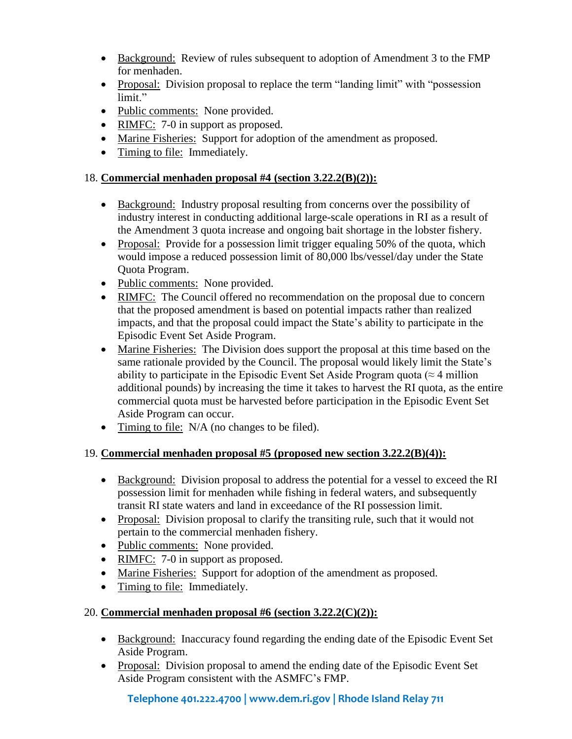- Background: Review of rules subsequent to adoption of Amendment 3 to the FMP for menhaden.
- Proposal: Division proposal to replace the term "landing limit" with "possession limit."
- Public comments: None provided.
- RIMFC: 7-0 in support as proposed.
- Marine Fisheries: Support for adoption of the amendment as proposed.
- Timing to file: Immediately.

# 18. **Commercial menhaden proposal #4 (section 3.22.2(B)(2)):**

- Background: Industry proposal resulting from concerns over the possibility of industry interest in conducting additional large-scale operations in RI as a result of the Amendment 3 quota increase and ongoing bait shortage in the lobster fishery.
- Proposal: Provide for a possession limit trigger equaling 50% of the quota, which would impose a reduced possession limit of 80,000 lbs/vessel/day under the State Quota Program.
- Public comments: None provided.
- RIMFC: The Council offered no recommendation on the proposal due to concern that the proposed amendment is based on potential impacts rather than realized impacts, and that the proposal could impact the State's ability to participate in the Episodic Event Set Aside Program.
- Marine Fisheries: The Division does support the proposal at this time based on the same rationale provided by the Council. The proposal would likely limit the State's ability to participate in the Episodic Event Set Aside Program quota ( $\approx$  4 million additional pounds) by increasing the time it takes to harvest the RI quota, as the entire commercial quota must be harvested before participation in the Episodic Event Set Aside Program can occur.
- Timing to file: N/A (no changes to be filed).

# 19. **Commercial menhaden proposal #5 (proposed new section 3.22.2(B)(4)):**

- Background: Division proposal to address the potential for a vessel to exceed the RI possession limit for menhaden while fishing in federal waters, and subsequently transit RI state waters and land in exceedance of the RI possession limit.
- Proposal: Division proposal to clarify the transiting rule, such that it would not pertain to the commercial menhaden fishery.
- Public comments: None provided.
- RIMFC: 7-0 in support as proposed.
- Marine Fisheries: Support for adoption of the amendment as proposed.
- Timing to file: Immediately.

# 20. **Commercial menhaden proposal #6 (section 3.22.2(C)(2)):**

- Background: Inaccuracy found regarding the ending date of the Episodic Event Set Aside Program.
- Proposal: Division proposal to amend the ending date of the Episodic Event Set Aside Program consistent with the ASMFC's FMP.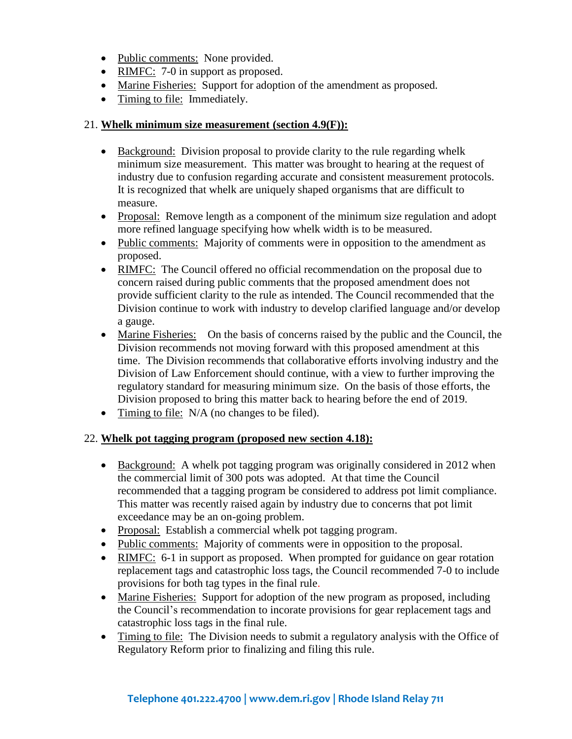- Public comments: None provided.
- RIMFC:  $7-0$  in support as proposed.
- Marine Fisheries: Support for adoption of the amendment as proposed.
- Timing to file: Immediately.

#### 21. **Whelk minimum size measurement (section 4.9(F)):**

- Background: Division proposal to provide clarity to the rule regarding whelk minimum size measurement. This matter was brought to hearing at the request of industry due to confusion regarding accurate and consistent measurement protocols. It is recognized that whelk are uniquely shaped organisms that are difficult to measure.
- Proposal: Remove length as a component of the minimum size regulation and adopt more refined language specifying how whelk width is to be measured.
- Public comments: Majority of comments were in opposition to the amendment as proposed.
- RIMFC: The Council offered no official recommendation on the proposal due to concern raised during public comments that the proposed amendment does not provide sufficient clarity to the rule as intended. The Council recommended that the Division continue to work with industry to develop clarified language and/or develop a gauge.
- Marine Fisheries: On the basis of concerns raised by the public and the Council, the Division recommends not moving forward with this proposed amendment at this time. The Division recommends that collaborative efforts involving industry and the Division of Law Enforcement should continue, with a view to further improving the regulatory standard for measuring minimum size. On the basis of those efforts, the Division proposed to bring this matter back to hearing before the end of 2019.
- Timing to file: N/A (no changes to be filed).

#### 22. **Whelk pot tagging program (proposed new section 4.18):**

- Background: A whelk pot tagging program was originally considered in 2012 when the commercial limit of 300 pots was adopted. At that time the Council recommended that a tagging program be considered to address pot limit compliance. This matter was recently raised again by industry due to concerns that pot limit exceedance may be an on-going problem.
- Proposal: Establish a commercial whelk pot tagging program.
- Public comments: Majority of comments were in opposition to the proposal.
- RIMFC: 6-1 in support as proposed. When prompted for guidance on gear rotation replacement tags and catastrophic loss tags, the Council recommended 7-0 to include provisions for both tag types in the final rule.
- Marine Fisheries: Support for adoption of the new program as proposed, including the Council's recommendation to incorate provisions for gear replacement tags and catastrophic loss tags in the final rule.
- Timing to file: The Division needs to submit a regulatory analysis with the Office of Regulatory Reform prior to finalizing and filing this rule.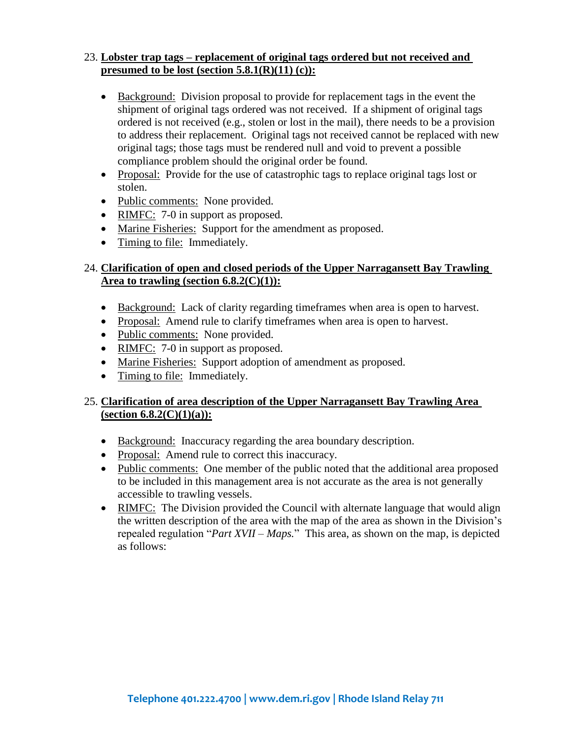#### 23. **Lobster trap tags – replacement of original tags ordered but not received and presumed to be lost (section 5.8.1(R)(11) (c)):**

- Background: Division proposal to provide for replacement tags in the event the shipment of original tags ordered was not received. If a shipment of original tags ordered is not received (e.g., stolen or lost in the mail), there needs to be a provision to address their replacement. Original tags not received cannot be replaced with new original tags; those tags must be rendered null and void to prevent a possible compliance problem should the original order be found.
- Proposal: Provide for the use of catastrophic tags to replace original tags lost or stolen.
- Public comments: None provided.
- RIMFC: 7-0 in support as proposed.
- Marine Fisheries: Support for the amendment as proposed.
- Timing to file: Immediately.

# 24. **Clarification of open and closed periods of the Upper Narragansett Bay Trawling Area to trawling (section 6.8.2(C)(1)):**

- Background: Lack of clarity regarding time frames when area is open to harvest.
- Proposal: Amend rule to clarify timeframes when area is open to harvest.
- Public comments: None provided.
- RIMFC: 7-0 in support as proposed.
- Marine Fisheries: Support adoption of amendment as proposed.
- Timing to file: Immediately.

# 25. **Clarification of area description of the Upper Narragansett Bay Trawling Area (section 6.8.2(C)(1)(a)):**

- Background: Inaccuracy regarding the area boundary description.
- Proposal: Amend rule to correct this inaccuracy.
- Public comments: One member of the public noted that the additional area proposed to be included in this management area is not accurate as the area is not generally accessible to trawling vessels.
- RIMFC: The Division provided the Council with alternate language that would align the written description of the area with the map of the area as shown in the Division's repealed regulation "*Part XVII – Maps.*" This area, as shown on the map, is depicted as follows: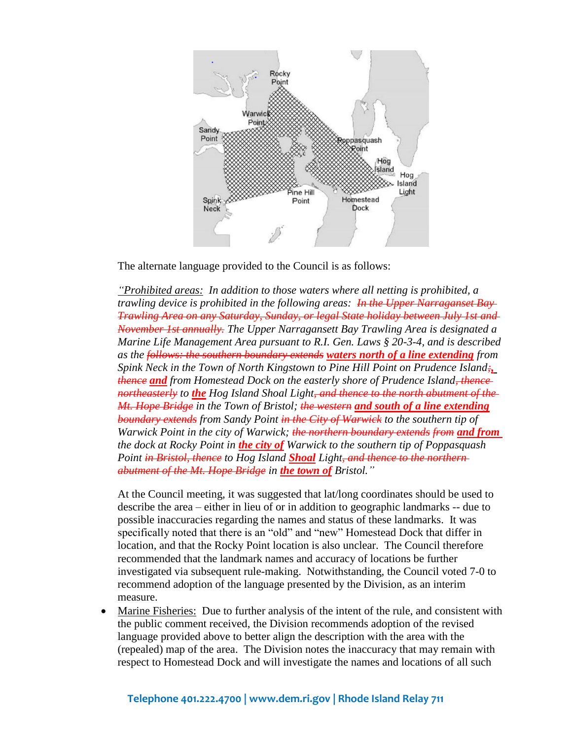

The alternate language provided to the Council is as follows:

*"Prohibited areas: In addition to those waters where all netting is prohibited, a trawling device is prohibited in the following areas: In the Upper Narraganset Bay Trawling Area on any Saturday, Sunday, or legal State holiday between July 1st and November 1st annually. The Upper Narragansett Bay Trawling Area is designated a Marine Life Management Area pursuant to R.I. Gen. Laws § 20-3-4, and is described as the follows: the southern boundary extends waters north of a line extending from Spink Neck in the Town of North Kingstown to Pine Hill Point on Prudence Island;, thence and from Homestead Dock on the easterly shore of Prudence Island, thence northeasterly to the Hog Island Shoal Light, and thence to the north abutment of the Mt. Hope Bridge in the Town of Bristol; the western and south of a line extending boundary extends from Sandy Point in the City of Warwick to the southern tip of Warwick Point in the city of Warwick; the northern boundary extends from and from the dock at Rocky Point in the city of Warwick to the southern tip of Poppasquash Point in Bristol, thence to Hog Island Shoal Light, and thence to the northern abutment of the Mt. Hope Bridge in the town of Bristol."*

At the Council meeting, it was suggested that lat/long coordinates should be used to describe the area – either in lieu of or in addition to geographic landmarks -- due to possible inaccuracies regarding the names and status of these landmarks. It was specifically noted that there is an "old" and "new" Homestead Dock that differ in location, and that the Rocky Point location is also unclear. The Council therefore recommended that the landmark names and accuracy of locations be further investigated via subsequent rule-making. Notwithstanding, the Council voted 7-0 to recommend adoption of the language presented by the Division, as an interim measure.

• Marine Fisheries: Due to further analysis of the intent of the rule, and consistent with the public comment received, the Division recommends adoption of the revised language provided above to better align the description with the area with the (repealed) map of the area. The Division notes the inaccuracy that may remain with respect to Homestead Dock and will investigate the names and locations of all such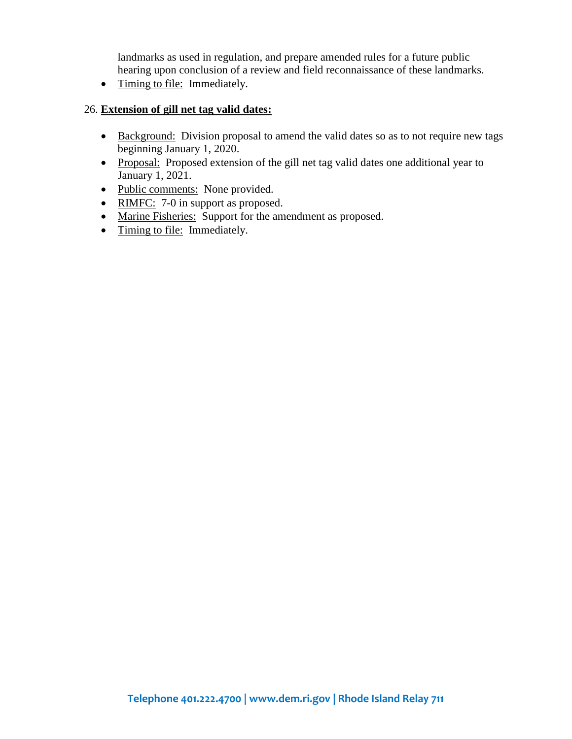landmarks as used in regulation, and prepare amended rules for a future public hearing upon conclusion of a review and field reconnaissance of these landmarks.

• Timing to file: Immediately.

#### 26. **Extension of gill net tag valid dates:**

- Background: Division proposal to amend the valid dates so as to not require new tags beginning January 1, 2020.
- Proposal: Proposed extension of the gill net tag valid dates one additional year to January 1, 2021.
- Public comments: None provided.
- RIMFC: 7-0 in support as proposed.
- Marine Fisheries: Support for the amendment as proposed.
- Timing to file: Immediately.